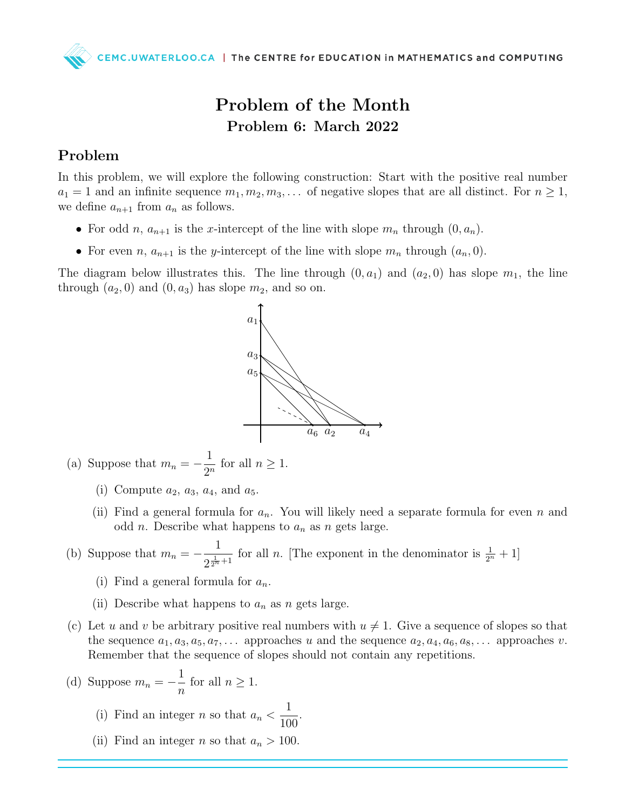

## Problem of the Month Problem 6: March 2022

## Problem

In this problem, we will explore the following construction: Start with the positive real number  $a_1 = 1$  and an infinite sequence  $m_1, m_2, m_3, \ldots$  of negative slopes that are all distinct. For  $n \geq 1$ , we define  $a_{n+1}$  from  $a_n$  as follows.

- For odd n,  $a_{n+1}$  is the x-intercept of the line with slope  $m_n$  through  $(0, a_n)$ .
- For even n,  $a_{n+1}$  is the y-intercept of the line with slope  $m_n$  through  $(a_n, 0)$ .

The diagram below illustrates this. The line through  $(0, a_1)$  and  $(a_2, 0)$  has slope  $m_1$ , the line through  $(a_2, 0)$  and  $(0, a_3)$  has slope  $m_2$ , and so on.



- (a) Suppose that  $m_n = -\frac{1}{2^n}$  $\frac{1}{2^n}$  for all  $n \geq 1$ .
	- (i) Compute  $a_2$ ,  $a_3$ ,  $a_4$ , and  $a_5$ .
	- (ii) Find a general formula for  $a_n$ . You will likely need a separate formula for even n and odd *n*. Describe what happens to  $a_n$  as *n* gets large.
- (b) Suppose that  $m_n = -\frac{1}{2^1}$  $\frac{1}{2^{\frac{1}{2^n}+1}}$  for all *n*. [The exponent in the denominator is  $\frac{1}{2^n}+1$ ]
	- (i) Find a general formula for  $a_n$ .
	- (ii) Describe what happens to  $a_n$  as n gets large.
- (c) Let u and v be arbitrary positive real numbers with  $u \neq 1$ . Give a sequence of slopes so that the sequence  $a_1, a_3, a_5, a_7, \ldots$  approaches u and the sequence  $a_2, a_4, a_6, a_8, \ldots$  approaches v. Remember that the sequence of slopes should not contain any repetitions.
- (d) Suppose  $m_n = -\frac{1}{n}$ n for all  $n \geq 1$ .
	- (i) Find an integer n so that  $a_n <$ 1 100 .
	- (ii) Find an integer *n* so that  $a_n > 100$ .